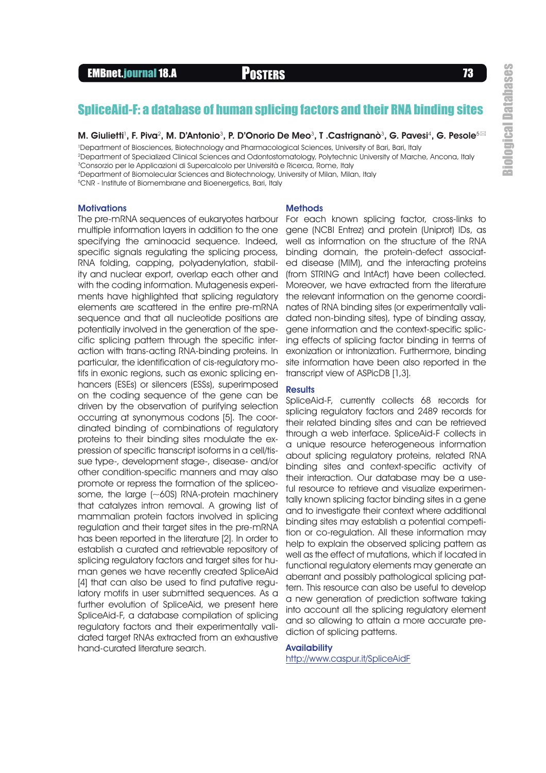# SpliceAid-F: a database of human splicing factors and their RNA binding sites

#### M. Giulietti', F. Piva $^2$ , M. D'Antonio $^3$ , P. D'Onorio De Meo $^3$ , T .Castrignanò $^3$ , G. Pavesi $^4$ , G. Pesole $^{5\boxtimes}$

<sup>1</sup>Department of Biosciences, Biotechnology and Pharmacological Sciences, University of Bari, Bari, Italy

<sup>2</sup>Department of Specialized Clinical Sciences and Odontostomatology, Polytechnic University of Marche, Ancona, Italy <sup>3</sup>Consorzio per le Applicazioni di Supercalcolo per Università e Ricerca, Rome, Italy

<sup>4</sup>Department of Biomolecular Sciences and Biotechnology, University of Milan, Milan, Italy

<sup>5</sup>CNR - Institute of Biomembrane and Bioenergetics, Bari, Italy

#### **Motivations**

The pre-mRNA sequences of eukaryotes harbour multiple information layers in addition to the one specifying the aminoacid sequence. Indeed, specific signals regulating the splicing process, RNA folding, capping, polyadenylation, stability and nuclear export, overlap each other and with the coding information. Mutagenesis experiments have highlighted that splicing regulatory elements are scattered in the entire pre-mRNA sequence and that all nucleotide positions are potentially involved in the generation of the specific splicing pattern through the specific interaction with trans-acting RNA-binding proteins. In particular, the identification of cis-regulatory motifs in exonic regions, such as exonic splicing enhancers (ESEs) or silencers (ESSs), superimposed on the coding sequence of the gene can be driven by the observation of purifying selection occurring at synonymous codons [5]. The coordinated binding of combinations of regulatory proteins to their binding sites modulate the expression of specific transcript isoforms in a cell/tissue type-, development stage-, disease- and/or other condition-specific manners and may also promote or repress the formation of the spliceosome, the large (~60S) RNA-protein machinery that catalyzes intron removal. A growing list of mammalian protein factors involved in splicing regulation and their target sites in the pre-mRNA has been reported in the literature [2]. In order to establish a curated and retrievable repository of splicing regulatory factors and target sites for human genes we have recently created SpliceAid [4] that can also be used to find putative regulatory motifs in user submitted sequences. As a further evolution of SpliceAid, we present here SpliceAid-F, a database compilation of splicing regulatory factors and their experimentally validated target RNAs extracted from an exhaustive hand-curated literature search.

### **Methods**

For each known splicing factor, cross-links to gene (NCBI Entrez) and protein (Uniprot) IDs, as well as information on the structure of the RNA binding domain, the protein-defect associated disease (MIM), and the interacting proteins (from STRING and IntAct) have been collected. Moreover, we have extracted from the literature the relevant information on the genome coordinates of RNA binding sites (or experimentally validated non-binding sites), type of binding assay, gene information and the context-specific splicing effects of splicing factor binding in terms of exonization or intronization. Furthermore, binding site information have been also reported in the transcript view of ASPicDB [1,3].

### **Results**

SpliceAid-F, currently collects 68 records for splicing regulatory factors and 2489 records for their related binding sites and can be retrieved through a web interface. SpliceAid-F collects in a unique resource heterogeneous information about splicing regulatory proteins, related RNA binding sites and context-specific activity of their interaction. Our database may be a useful resource to retrieve and visualize experimentally known splicing factor binding sites in a gene and to investigate their context where additional binding sites may establish a potential competition or co-regulation. All these information may help to explain the observed splicing pattern as well as the effect of mutations, which if located in functional regulatory elements may generate an aberrant and possibly pathological splicing pattern. This resource can also be useful to develop a new generation of prediction software taking into account all the splicing regulatory element and so allowing to attain a more accurate prediction of splicing patterns.

### **Availability**

http://www.caspur.it/SpliceAidF